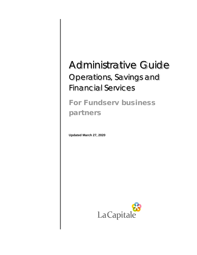# Administrative Guide Operations, Savings and Financial Services

# For Fundserv business partners

**Updated March 27, 2020**

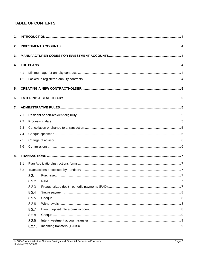# **TABLE OF CONTENTS**

| 1.               |     |        |  |  |
|------------------|-----|--------|--|--|
| 2.               |     |        |  |  |
| 3.               |     |        |  |  |
| $\mathbf{4}$ .   |     |        |  |  |
|                  | 4.1 |        |  |  |
|                  | 4.2 |        |  |  |
| 5.               |     |        |  |  |
| 6.               |     |        |  |  |
| $\overline{7}$ . |     |        |  |  |
|                  | 7.1 |        |  |  |
|                  | 7.2 |        |  |  |
|                  | 7.3 |        |  |  |
|                  | 7.4 |        |  |  |
|                  | 7.5 |        |  |  |
|                  | 7.6 |        |  |  |
| 8.               |     |        |  |  |
|                  | 8.1 |        |  |  |
|                  | 8.2 |        |  |  |
|                  |     | 8.2.1  |  |  |
|                  |     | 8.2.2  |  |  |
|                  |     | 8.2.3  |  |  |
|                  |     | 8.2.4  |  |  |
|                  |     | 8.2.5  |  |  |
|                  |     | 8.2.6  |  |  |
|                  |     | 8.2.7  |  |  |
|                  |     | 8.2.8  |  |  |
|                  |     | 8.2.9  |  |  |
|                  |     | 8.2.10 |  |  |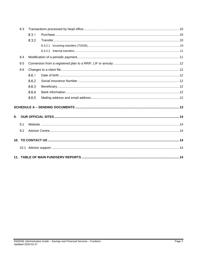| 8.3 |     |       |  |
|-----|-----|-------|--|
|     |     | 8.3.1 |  |
|     |     | 8.3.2 |  |
|     |     |       |  |
|     |     |       |  |
|     | 8.4 |       |  |
|     | 8.5 |       |  |
|     | 8.6 |       |  |
|     |     | 8.6.1 |  |
|     |     | 8.6.2 |  |
|     |     | 8.6.3 |  |
|     |     | 8.6.4 |  |
|     |     | 8.6.5 |  |
|     |     |       |  |
| 9.  |     |       |  |
|     | 9.1 |       |  |
|     | 9.2 |       |  |
|     |     |       |  |
|     |     |       |  |
|     |     |       |  |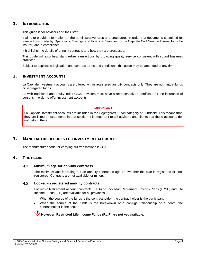# <span id="page-3-0"></span>1. INTRODUCTION

This guide is for advisors and their staff.

It aims to provide information on the administrative rules and procedures in order that documents submitted for transactions made by Operations, Savings and Financial Services for La Capitale Civil Service Insurer Inc. (the Insurer) are in compliance.

It highlights the details of annuity contracts and how they are processed.

This guide will also help standardize transactions by providing quality service consistent with sound business practices.

Subject to applicable legislation and contract terms and conditions, this guide may be amended at any time.

# <span id="page-3-1"></span>2. INVESTMENT ACCOUNTS

La Capitale investment accounts are offered within **registered** annuity contracts only. They are not mutual funds or segregated funds.

As with traditional and equity index GICs, advisors must have a representative's certificate for the insurance of persons in order to offer investment accounts.

### **IMPORTANT**

La Capitale investment accounts are included in the *Segregated Funds* category of Fundserv. This means that they are listed on statements in that section. It is important to tell advisors and clients that these accounts do not belong there.

# <span id="page-3-2"></span>3. MANUFACTURER CODES FOR INVESTMENT ACCOUNTS

The manufacturer code for carrying out transactions is *LCA*.

# <span id="page-3-4"></span><span id="page-3-3"></span>4. THE PLANS

#### $4.1$ **Minimum age for annuity contracts**

The minimum age for taking out an annuity contract is age 18, whether the plan is registered or nonregistered. Contracts are not available for minors.

#### <span id="page-3-5"></span>4.2 **Locked-in registered annuity contracts**

Locked-in Retirement Account contracts (LIRA) or Locked-in Retirement Savings Plans (LRSP) and Life Income Funds (LIF) are available for all provinces.

- When the source of the funds is the contractholder, the contractholder is the participant.
- When the source of the funds is the breakdown of a conjugal relationship or a death, the contractholder is the settlor.

# **However, Restricted Life Income Funds (RLIF) are not yet available.**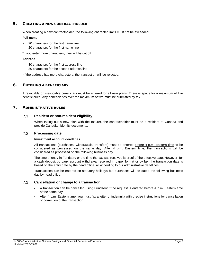# <span id="page-4-0"></span>5. CREATING A NEW CONTRACTHOLDER

When creating a new contractholder, the following character limits must not be exceeded:

## **Full name**

- 20 characters for the last name line
- 20 characters for the first name line

\*If you enter more characters, they will be cut off.

## **Address**

- 30 characters for the first address line
- 30 characters for the second address line

\*If the address has more characters, the transaction will be rejected.

# <span id="page-4-1"></span>6. ENTERING A BENEFICIARY

A revocable or irrevocable beneficiary must be entered for all new plans. There is space for a maximum of five beneficiaries. Any beneficiaries over the maximum of five must be submitted by fax.

# <span id="page-4-3"></span><span id="page-4-2"></span>7. ADMINISTRATIVE RULES

#### $7.1$ **Resident or non-resident eligibility**

When taking out a new plan with the Insurer, the contractholder must be a resident of Canada and provide Canadian identity documents.

#### <span id="page-4-4"></span> $7.2$ **Processing date**

### **Investment account deadlines**

All transactions (purchases, withdrawals, transfers) must be entered before 4 p.m. Eastern time to be considered as processed on the same day. After 4 p.m. Eastern time, the transactions will be considered as processed on the following business day.

The time of entry in Fundserv or the time the fax was received is proof of the effective date. However, for a cash deposit by bank account withdrawal received in paper format or by fax, the transaction date is based on the entry date by the head office, all according to our administrative deadlines.

Transactions can be entered on statutory holidays but purchases will be dated the following business day by head office.

#### <span id="page-4-5"></span> $7.3$ **Cancellation or change to a transaction**

- A transaction can be cancelled using Fundserv if the request is entered before 4 p.m. Eastern time of the same day.
- After 4 p.m. Eastern time, you must fax a letter of indemnity with precise instructions for cancellation or correction of the transaction.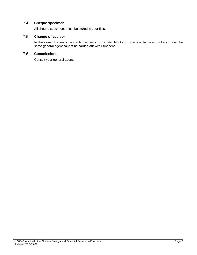#### <span id="page-5-0"></span> $7.4$ **Cheque specimen**

All cheque specimens must be stored in your files.

#### <span id="page-5-1"></span>7.5 **Change of advisor**

In the case of annuity contracts, requests to transfer blocks of business between brokers under the same general agent cannot be carried out with Fundserv.

#### <span id="page-5-2"></span>7.6 **Commissions**

Consult your general agent.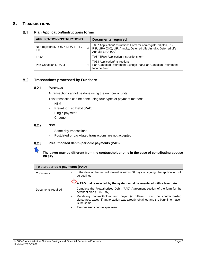# <span id="page-6-1"></span><span id="page-6-0"></span>8. TRANSACTIONS

#### $8.1$ **Plan Application/Instructions forms**

| <b>APPLICATION-INSTRUCTIONS</b>          |   | <b>Documents required</b>                                                                                                                                   |
|------------------------------------------|---|-------------------------------------------------------------------------------------------------------------------------------------------------------------|
| Non-registered, RRSP, LIRA, RRIF,<br>LIF | ⇨ | T097 Application/Instructions Form for non-registered plan, RSP,<br>RIF, LIRA (QC), LIF, Annuity, Deferred Life Annuity, Deferred Life<br>Annuity-LIRA (QC) |
| <b>TFSA</b>                              | ⇨ | T087 TFSA Application-Instructions form                                                                                                                     |
| Pan-Canadian LIRA/LIF                    | ⇨ | T053 Application/Instructions -<br>Pan-Canadian Retirement Savings Plan/Pan-Canadian Retirement<br>Income Fund                                              |

#### <span id="page-6-3"></span><span id="page-6-2"></span>8.2 **Transactions processed by Fundserv**

#### $8.2.1$ **Purchase**

A transaction cannot be done using the number of units.

This transaction can be done using four types of payment methods:

- N\$M
- Preauthorized Debit (PAD)
- Single payment
- Cheque

#### <span id="page-6-4"></span> $8.2.2$ **N\$M**

- Same-day transactions
- Postdated or backdated transactions are not accepted

#### <span id="page-6-5"></span> $8.2.3$ **Preauthorized debit - periodic payments (PAD)**

# **The payor may be different from the contractholder only in the case of contributing spouse RRSPs.**

| To start periodic payments (PAD) |                                                                                                                                                                               |  |  |
|----------------------------------|-------------------------------------------------------------------------------------------------------------------------------------------------------------------------------|--|--|
| Comments                         | If the date of the first withdrawal is within 30 days of signing, the application will<br>be declined.                                                                        |  |  |
|                                  | A PAD that is rejected by the system must be re-entered with a later date.                                                                                                    |  |  |
| Documents required               | Complete the Preauthorized Debit (PAD) Agreement section of the form for the<br>-<br>pertinent plan (T087-097)                                                                |  |  |
|                                  | Mandatory contractholder and payor (if different from the contractholder)<br>signatures, except if authorization was already obtained and the bank information<br>is the same |  |  |
|                                  | Personalized cheque specimen                                                                                                                                                  |  |  |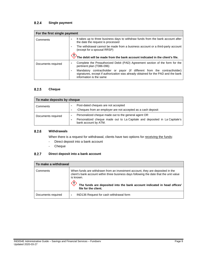#### <span id="page-7-0"></span> $8.2.4$ **Single payment**

| For the first single payment |                                                                                                                                                                                          |  |  |
|------------------------------|------------------------------------------------------------------------------------------------------------------------------------------------------------------------------------------|--|--|
| Comments                     | It takes up to three business days to withdraw funds from the bank account after<br>the date the request is processed                                                                    |  |  |
|                              | The withdrawal cannot be made from a business account or a third-party account<br>(except for a spousal RRSP)                                                                            |  |  |
|                              | The debit will be made from the bank account indicated in the client's file.                                                                                                             |  |  |
| Documents required           | Complete the Preauthorized Debit (PAD) Agreement section of the form for the<br>۰<br>pertinent plan (T086-096)                                                                           |  |  |
|                              | Mandatory contractholder or payor (if different from the contractholder)<br>signatures, except if authorization was already obtained for the PAD and the bank<br>information is the same |  |  |

#### <span id="page-7-1"></span> $8.2.5$ **Cheque**

| To make deposits by cheque |                                                                                                                                                            |  |  |
|----------------------------|------------------------------------------------------------------------------------------------------------------------------------------------------------|--|--|
| Comments                   | Post-dated cheques are not accepted<br>-Cheques from an employer are not accepted as a cash deposit                                                        |  |  |
| Documents required         | Personalized cheque made out to the general agent OR<br>Personalized cheque made out to La Capitale and deposited in La Capitale's<br>bank account by ATM. |  |  |

#### <span id="page-7-2"></span> $8.2.6$ **Withdrawals**

When there is a request for withdrawal, clients have two options for receiving the funds:

- Direct deposit into a bank account
- Cheque

#### <span id="page-7-3"></span>**Direct deposit into a bank account**  $8.2.7$

| To make a withdrawal |                                                                                                                                                                                                                                                                                            |  |  |  |
|----------------------|--------------------------------------------------------------------------------------------------------------------------------------------------------------------------------------------------------------------------------------------------------------------------------------------|--|--|--|
| Comments             | When funds are withdrawn from an investment account, they are deposited in the<br>client's bank account within three business days following the date that the unit value<br>is known.<br>The funds are deposited into the bank account indicated in head offices'<br>file for the client. |  |  |  |
| Documents required   | IND136 Request for cash withdrawal form<br>$\overline{\phantom{a}}$                                                                                                                                                                                                                        |  |  |  |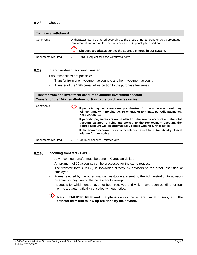#### <span id="page-8-0"></span> $8.2.8$ **Cheque**

| To make a withdrawal |                                                                                                                                                                                                                                   |  |  |  |
|----------------------|-----------------------------------------------------------------------------------------------------------------------------------------------------------------------------------------------------------------------------------|--|--|--|
| Comments             | Withdrawals can be entered according to the gross or net amount, or as a percentage,<br>total amount, mature units, free units or as a 10% penalty-free portion.<br>Cheques are always sent to the address entered in our system. |  |  |  |
| Documents required   | IND136 Request for cash withdrawal form<br>$\overline{\phantom{0}}$                                                                                                                                                               |  |  |  |

#### <span id="page-8-1"></span> $8.2.9$ **Inter-investment account transfer**

Two transactions are possible:

- Transfer from one investment account to another investment account
- Transfer of the 10% penalty-free portion to the purchase fee series

| Transfer from one investment account to another investment account<br>Transfer of the 10% penalty-free portion to the purchase fee series |                                                                                                                                                                                                                           |  |
|-------------------------------------------------------------------------------------------------------------------------------------------|---------------------------------------------------------------------------------------------------------------------------------------------------------------------------------------------------------------------------|--|
| Comments                                                                                                                                  | If periodic payments are already authorized for the source account, they<br>will continue with no change. To change or terminate periodic payments,<br>see Section 8.4.                                                   |  |
|                                                                                                                                           | If periodic payments are not in effect on the source account and the total<br>account balance is being transferred to the replacement account, the<br>source account will be automatically closed with no further notice. |  |
|                                                                                                                                           | If the source account has a zero balance, it will be automatically closed<br>with no further notice.                                                                                                                      |  |
| Documents required                                                                                                                        | K044 Inter-account Transfer form                                                                                                                                                                                          |  |

#### <span id="page-8-2"></span> $8.2.10$ **Incoming transfers (T2033)**

- Any incoming transfer must be done in Canadian dollars.
- A maximum of 10 accounts can be processed for the same request.
- The transfer form (T2033) is forwarded directly by advisors to the other institution or employer.
- Forms rejected by the other financial institution are sent by the Administration to advisors by email so they can do the necessary follow-up.
- Requests for which funds have not been received and which have been pending for four months are automatically cancelled without notice.

KI) **New LIRA/LRSP, RRIF and LIF plans cannot be entered in Fundserv, and the transfer form and follow-up are done by the advisor.**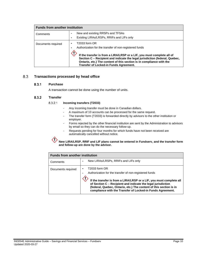| <b>Funds from another institution</b> |                                                                                                                                                                                                                                                                                                                                                           |  |  |
|---------------------------------------|-----------------------------------------------------------------------------------------------------------------------------------------------------------------------------------------------------------------------------------------------------------------------------------------------------------------------------------------------------------|--|--|
| Comments                              | New and existing RRSPs and TFSAs<br>$\overline{\phantom{0}}$<br>Existing LIRAs/LRSPs, RRIFs and LIFs only                                                                                                                                                                                                                                                 |  |  |
| Documents required                    | T2033 form OR<br>Authorization for the transfer of non-registered funds<br>If the transfer is from a LIRA/LRSP or a LIF, you must complete all of<br>Section C - Recipient and indicate the legal jurisdiction (federal, Quebec,<br>Ontario, etc.) The content of this section is in compliance with the<br><b>Transfer of Locked-in Funds Agreement.</b> |  |  |

#### <span id="page-9-1"></span><span id="page-9-0"></span>8.3 **Transactions processed by head office**

#### $8.3.1$ **Purchase**

A transaction cannot be done using the number of units.

#### <span id="page-9-3"></span><span id="page-9-2"></span> $8.3.2$ **Transfer**

#### $8.3.2.1$ **Incoming transfers (T2033)**

- Any incoming transfer must be done in Canadian dollars.
- A maximum of 10 accounts can be processed for the same request.
- The transfer form (T2033) is forwarded directly by advisors to the other institution or employer.
- Forms rejected by the other financial institution are sent by the Administration to advisors by email so they can do the necessary follow-up.
- Requests pending for four months for which funds have not been received are automatically cancelled without notice.

### **New LIRA/LRSP, RRIF and LIF plans cannot be entered in Fundserv, and the transfer form and follow-up are done by the advisor.**

|                    | <b>Funds from another institution</b>                                                                                                                                                                                                                                                                                                              |  |  |
|--------------------|----------------------------------------------------------------------------------------------------------------------------------------------------------------------------------------------------------------------------------------------------------------------------------------------------------------------------------------------------|--|--|
| Comments           | New LIRAs/LRSPs, RRIFs and LIFs only                                                                                                                                                                                                                                                                                                               |  |  |
| Documents required | T2033 form OR<br>Authorization for the transfer of non-registered funds<br>If the transfer is from a LIRA/LRSP or a LIF, you must complete all<br>of Section C - Recipient and indicate the legal jurisdiction<br>(federal, Quebec, Ontario, etc.) The content of this section is in<br>compliance with the Transfer of Locked-in Funds Agreement. |  |  |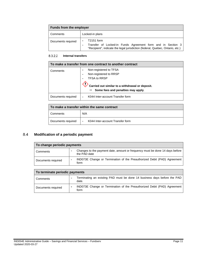| <b>Funds from the employer</b> |                                                                                                                                                            |  |  |
|--------------------------------|------------------------------------------------------------------------------------------------------------------------------------------------------------|--|--|
| Comments                       | Locked-in plans                                                                                                                                            |  |  |
| Documents required             | T2151 form<br>Transfer of Locked-in Funds Agreement form and in Section 3<br>"Recipient", indicate the legal jurisdiction (federal, Quebec, Ontario, etc.) |  |  |

#### <span id="page-10-0"></span>8.3.2.2 **Internal transfers**

| To make a transfer from one contract to another contract |                                                                                                                                                                       |  |
|----------------------------------------------------------|-----------------------------------------------------------------------------------------------------------------------------------------------------------------------|--|
| Comments                                                 | Non-registered to TFSA<br>Non-registered to RRSP<br><b>TFSA to RRSP</b><br>Carried out similar to a withdrawal or deposit.<br>Some fees and penalties may apply.<br>⇨ |  |
| Documents required                                       | K044 Inter-account Transfer form                                                                                                                                      |  |

| To make a transfer within the same contract |                                  |  |
|---------------------------------------------|----------------------------------|--|
| Comments                                    | N/A                              |  |
| Documents required                          | K044 Inter-account Transfer form |  |

#### <span id="page-10-1"></span> $8.4$ **Modification of a periodic payment**

| To change periodic payments |  |                                                                                              |
|-----------------------------|--|----------------------------------------------------------------------------------------------|
| Comments                    |  | Changes to the payment date, amount or frequency must be done 14 days before<br>the PAD date |
| Documents required          |  | IND073E Change or Termination of the Preauthorized Debit (PAD) Agreement<br>form             |

| To terminate periodic payments |                          |                                                                                   |
|--------------------------------|--------------------------|-----------------------------------------------------------------------------------|
| Comments                       |                          | Terminating an existing PAD must be done 14 business days before the PAD<br>date. |
| Documents required             | $\overline{\phantom{0}}$ | IND073E Change or Termination of the Preauthorized Debit (PAD) Agreement<br>form  |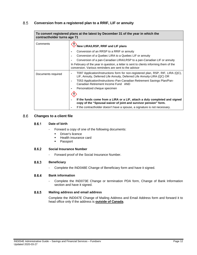#### <span id="page-11-0"></span>8.5 **Conversion from a registered plan to a RRIF, LIF or annuity**

| To convert registered plans at the latest by December 31 of the year in which the<br>contractholder turns age 71 |                                                                                                                                                                                                                                                                               |  |  |
|------------------------------------------------------------------------------------------------------------------|-------------------------------------------------------------------------------------------------------------------------------------------------------------------------------------------------------------------------------------------------------------------------------|--|--|
| Comments                                                                                                         | New LIRA/LRSP, RRIF and LIF plans                                                                                                                                                                                                                                             |  |  |
|                                                                                                                  | Conversion of an RRSP to a RRIF or annuity                                                                                                                                                                                                                                    |  |  |
|                                                                                                                  | Conversion of a Quebec LIRA to a Quebec LIF or annuity                                                                                                                                                                                                                        |  |  |
|                                                                                                                  | Conversion of a pan-Canadian LIRA/LRSP to a pan-Canadian LIF or annuity                                                                                                                                                                                                       |  |  |
|                                                                                                                  | In February of the year in question, a letter is sent to clients informing them of the<br>conversion. Various reminders are sent to the advisor                                                                                                                               |  |  |
| Documents required                                                                                               | T097 Application/Instructions form for non-registered plan, RSP, RIF, LIRA (QC),<br>LIF, Annuity, Deferred Life Annuity, Deferred Life Annuity-LIRA (QC) OR<br>T053 Application/Instructions-Pan-Canadian Retirement Savings Plan/Pan-<br>Canadian Retirement Income Fund AND |  |  |
|                                                                                                                  | Personalized cheque specimen                                                                                                                                                                                                                                                  |  |  |
|                                                                                                                  |                                                                                                                                                                                                                                                                               |  |  |
|                                                                                                                  | If the funds come from a LIRA or a LIF, attach a duly completed and signed<br>copy of the "Spousal waiver of joint and survivor pension" form.                                                                                                                                |  |  |
|                                                                                                                  | If the contractholder doesn't have a spouse, a signature is not necessary.                                                                                                                                                                                                    |  |  |

#### <span id="page-11-2"></span><span id="page-11-1"></span>8.6 **Changes to a client file**

#### $8.6.1$ **Date of birth**

- Forward a copy of one of the following documents:
	- **Driver's licence**
	- Health insurance card<br>■ Passport
	- Passport

#### <span id="page-11-3"></span>8.6.2 **Social Insurance Number**

- Forward proof of the Social Insurance Number.

#### <span id="page-11-4"></span>8.6.3 **Beneficiary**

- Complete the IND048E Change of Beneficiary form and have it signed.

#### <span id="page-11-5"></span>8.6.4 **Bank information**

- Complete the IND073E Change or termination PDA form, Change of Bank Information section and have it signed.

#### <span id="page-11-6"></span>8.6.5 **Mailing address and email address**

Complete the IND047E Change of Mailing Address and Email Address form and forward it to head office only if the address is **outside of Canada**.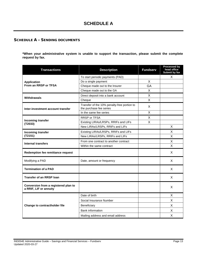# <span id="page-12-0"></span>SCHEDULE A – SENDING DOCUMENTS

**\*When your administrative system is unable to support the transaction, please submit the complete request by fax.**

| <b>Transactions</b>                                            | <b>Description</b>                                                     | <b>Fundserv</b>         | Processed by<br>head office<br>Submit by fax |
|----------------------------------------------------------------|------------------------------------------------------------------------|-------------------------|----------------------------------------------|
|                                                                | To start periodic payments (PAD)                                       |                         | X                                            |
| <b>Application</b>                                             | Do a single payment                                                    | X                       |                                              |
| From an RRSP or TFSA                                           | Cheque made out to the Insurer                                         | GA                      |                                              |
|                                                                | Cheque made out to the GA                                              | X                       |                                              |
| Withdrawals                                                    | Direct deposit into a bank account                                     | X                       |                                              |
|                                                                | Cheque                                                                 | X                       |                                              |
| Inter-investment account transfer                              | Transfer of the 10% penalty-free portion to<br>the purchase fee series | X                       |                                              |
|                                                                | In the same fee series                                                 | X                       |                                              |
|                                                                | <b>RRSP or TFSA</b>                                                    | X                       |                                              |
| Incoming transfer<br>(T2033)                                   | Existing LIRAs/LRSPs, RRIFs and LIFs                                   | $\overline{\mathsf{X}}$ |                                              |
|                                                                | New LIRAs/LRSPs, RRIFs and LIFs                                        |                         | X                                            |
| Incoming transfer                                              | Existing LIRAs/LRSPs, RRIFs and LIFs                                   |                         | X                                            |
| (T2151)                                                        | New LIRAs/LRSPs, RRIFs and LIFs                                        |                         | X                                            |
| <b>Internal transfers</b>                                      | From one contract to another contract                                  |                         | X                                            |
|                                                                | Within the same contract                                               |                         | X                                            |
| <b>Redemption fee remittance request</b>                       |                                                                        |                         | X                                            |
| Modifying a PAD                                                | Date, amount or frequency                                              |                         | X                                            |
| <b>Termination of a PAD</b>                                    |                                                                        |                         | X                                            |
| <b>Transfer of an RRSP loan</b>                                |                                                                        |                         | X                                            |
| Conversion from a registered plan to<br>a RRIF, LIF or annuity |                                                                        |                         | X                                            |
|                                                                | Date of birth                                                          |                         | X                                            |
|                                                                | Social Insurance Number                                                |                         | X                                            |
| Change to contractholder file                                  | Beneficiary                                                            |                         | X                                            |
|                                                                | <b>Bank information</b>                                                |                         | X                                            |
|                                                                | Mailing address and email address                                      |                         | X                                            |